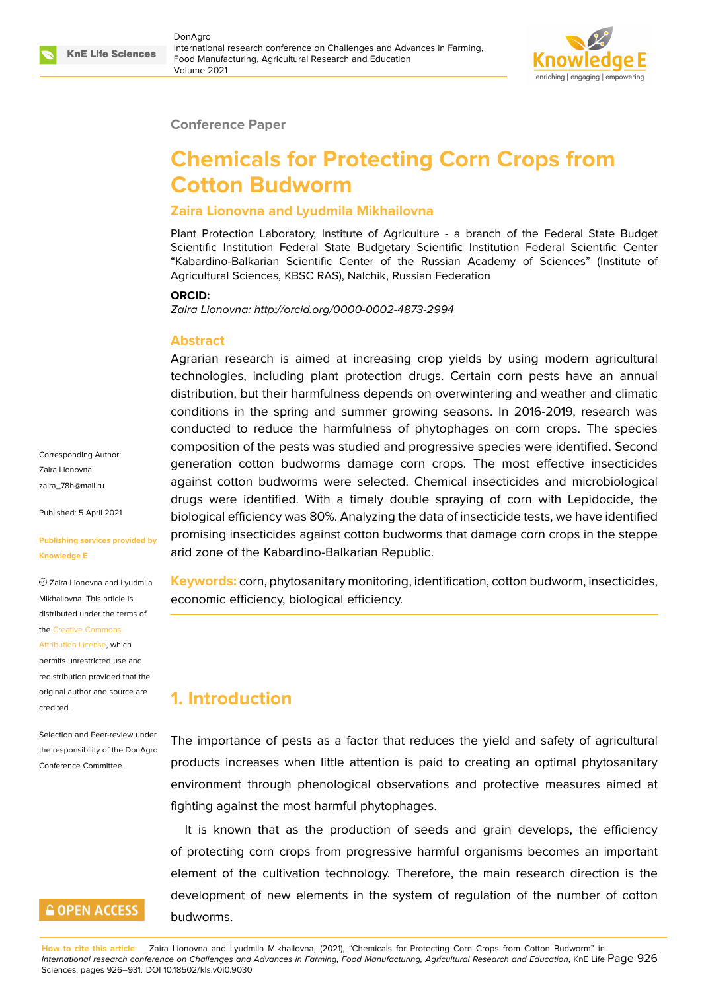

### **Conference Paper**

# **Chemicals for Protecting Corn Crops from Cotton Budworm**

### **Zaira Lionovna and Lyudmila Mikhailovna**

Plant Protection Laboratory, Institute of Agriculture - a branch of the Federal State Budget Scientific Institution Federal State Budgetary Scientific Institution Federal Scientific Center "Kabardino-Balkarian Scientific Center of the Russian Academy of Sciences" (Institute of Agricultural Sciences, KBSC RAS), Nalchik, Russian Federation

#### **ORCID:**

*Zaira Lionovna: http://orcid.org/0000-0002-4873-2994*

### **Abstract**

Agrarian research is aimed at increasing crop yields by using modern agricultural technologies, including plant protection drugs. Certain corn pests have an annual distribution, but their harmfulness depends on overwintering and weather and climatic conditions in the spring and summer growing seasons. In 2016-2019, research was conducted to reduce the harmfulness of phytophages on corn crops. The species composition of the pests was studied and progressive species were identified. Second generation cotton budworms damage corn crops. The most effective insecticides against cotton budworms were selected. Chemical insecticides and microbiological drugs were identified. With a timely double spraying of corn with Lepidocide, the biological efficiency was 80%. Analyzing the data of insecticide tests, we have identified promising insecticides against cotton budworms that damage corn crops in the steppe arid zone of the Kabardino-Balkarian Republic.

**Keywords:** corn, phytosanitary monitoring, identification, cotton budworm, insecticides, economic efficiency, biological efficiency.

# **1. Introduction**

The importance of pests as a factor that reduces the yield and safety of agricultural products increases when little attention is paid to creating an optimal phytosanitary environment through phenological observations and protective measures aimed at fighting against the most harmful phytophages.

It is known that as the production of seeds and grain develops, the efficiency of protecting corn crops from progressive harmful organisms becomes an important element of the cultivation technology. Therefore, the main research direction is the development of new elements in the system of regulation of the number of cotton budworms.

Corresponding Author: Zaira Lionovna zaira\_78h@mail.ru

Published: 5 April 2021

#### **[Publishing service](mailto:zaira_78h@mail.ru)s provided by Knowledge E**

Zaira Lionovna and Lyudmila Mikhailovna. This article is distributed under the terms of the Creative Commons

Attribution License, which permits unrestricted use and

redistribution provided that the orig[inal author and sou](https://creativecommons.org/licenses/by/4.0/)rce are [credited.](https://creativecommons.org/licenses/by/4.0/)

Selection and Peer-review under the responsibility of the DonAgro Conference Committee.

## **GOPEN ACCESS**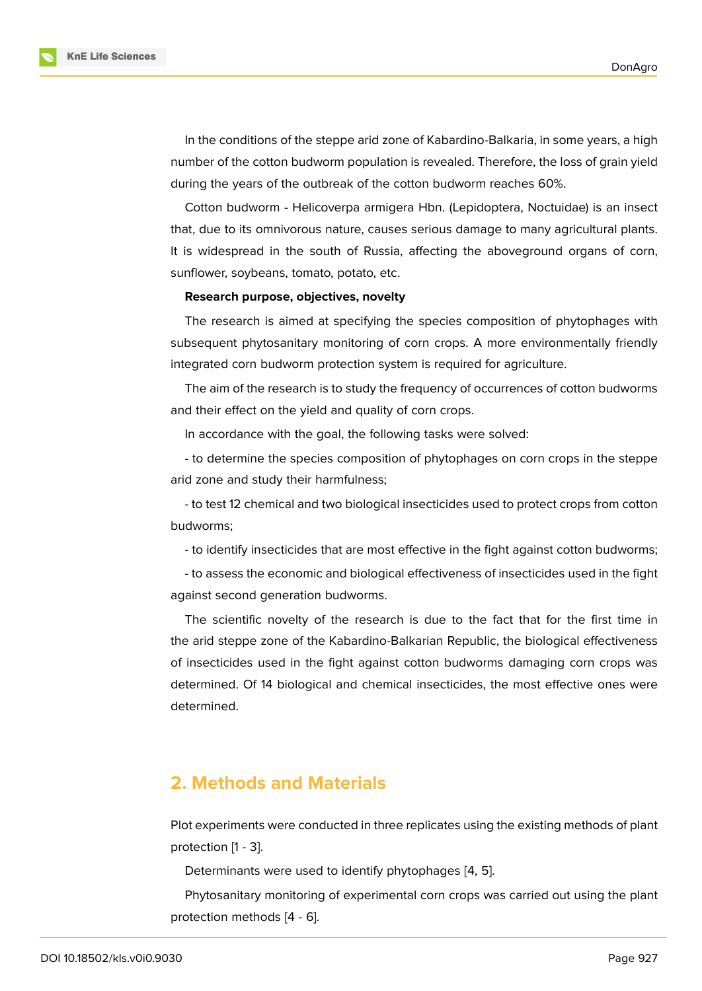In the conditions of the steppe arid zone of Kabardino-Balkaria, in some years, a high number of the cotton budworm population is revealed. Therefore, the loss of grain yield during the years of the outbreak of the cotton budworm reaches 60%.

Cotton budworm - Helicoverpa armigera Hbn. (Lepidoptera, Noctuidae) is an insect that, due to its omnivorous nature, causes serious damage to many agricultural plants. It is widespread in the south of Russia, affecting the aboveground organs of corn, sunflower, soybeans, tomato, potato, etc.

### **Research purpose, objectives, novelty**

The research is aimed at specifying the species composition of phytophages with subsequent phytosanitary monitoring of corn crops. A more environmentally friendly integrated corn budworm protection system is required for agriculture.

The aim of the research is to study the frequency of occurrences of cotton budworms and their effect on the yield and quality of corn crops.

In accordance with the goal, the following tasks were solved:

- to determine the species composition of phytophages on corn crops in the steppe arid zone and study their harmfulness;

- to test 12 chemical and two biological insecticides used to protect crops from cotton budworms;

- to identify insecticides that are most effective in the fight against cotton budworms;

- to assess the economic and biological effectiveness of insecticides used in the fight against second generation budworms.

The scientific novelty of the research is due to the fact that for the first time in the arid steppe zone of the Kabardino-Balkarian Republic, the biological effectiveness of insecticides used in the fight against cotton budworms damaging corn crops was determined. Of 14 biological and chemical insecticides, the most effective ones were determined.

### **2. Methods and Materials**

Plot experiments were conducted in three replicates using the existing methods of plant protection [1 - 3].

Determinants were used to identify phytophages [4, 5].

Phytosanitary monitoring of experimental corn crops was carried out using the plant protection methods [4 - 6].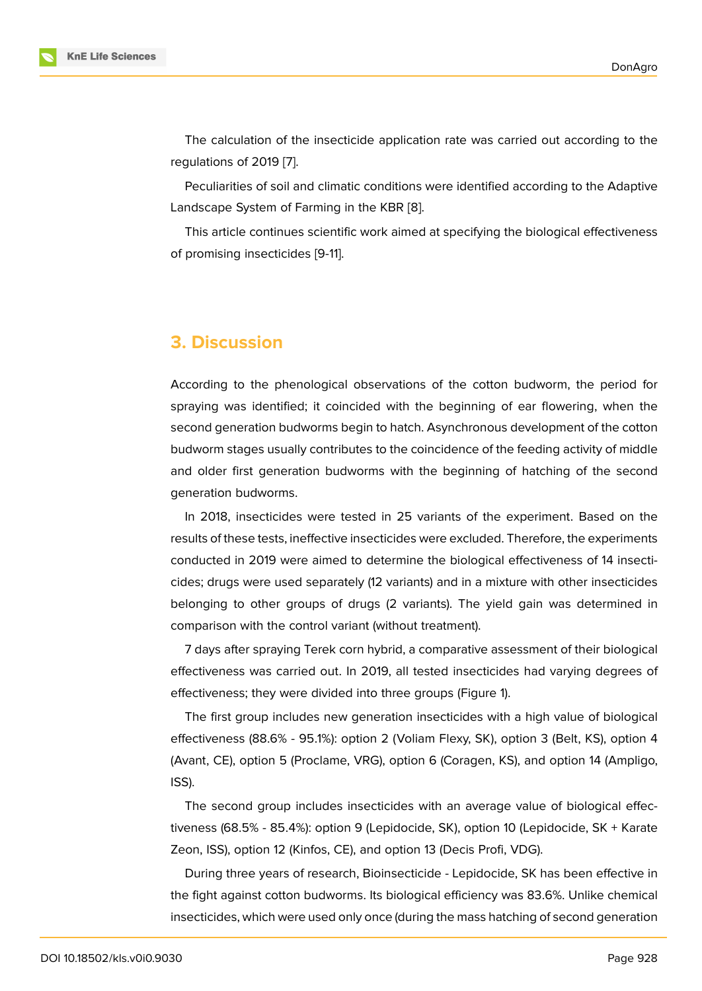The calculation of the insecticide application rate was carried out according to the regulations of 2019 [7].

Peculiarities of soil and climatic conditions were identified according to the Adaptive Landscape System of Farming in the KBR [8].

This article contin[ue](#page-5-0)s scientific work aimed at specifying the biological effectiveness of promising insecticides [9-11].

### **3. Discussion**

According to the phenological observations of the cotton budworm, the period for spraying was identified; it coincided with the beginning of ear flowering, when the second generation budworms begin to hatch. Asynchronous development of the cotton budworm stages usually contributes to the coincidence of the feeding activity of middle and older first generation budworms with the beginning of hatching of the second generation budworms.

In 2018, insecticides were tested in 25 variants of the experiment. Based on the results of these tests, ineffective insecticides were excluded. Therefore, the experiments conducted in 2019 were aimed to determine the biological effectiveness of 14 insecticides; drugs were used separately (12 variants) and in a mixture with other insecticides belonging to other groups of drugs (2 variants). The yield gain was determined in comparison with the control variant (without treatment).

7 days after spraying Terek corn hybrid, a comparative assessment of their biological effectiveness was carried out. In 2019, all tested insecticides had varying degrees of effectiveness; they were divided into three groups (Figure 1).

The first group includes new generation insecticides with a high value of biological effectiveness (88.6% - 95.1%): option 2 (Voliam Flexy, SK), option 3 (Belt, KS), option 4 (Avant, CE), option 5 (Proclame, VRG), option 6 (Coragen, [K](#page-3-0)S), and option 14 (Ampligo, ISS).

The second group includes insecticides with an average value of biological effectiveness (68.5% - 85.4%): option 9 (Lepidocide, SK), option 10 (Lepidocide, SK + Karate Zeon, ISS), option 12 (Kinfos, CE), and option 13 (Decis Profi, VDG).

During three years of research, Bioinsecticide - Lepidocide, SK has been effective in the fight against cotton budworms. Its biological efficiency was 83.6%. Unlike chemical insecticides, which were used only once (during the mass hatching of second generation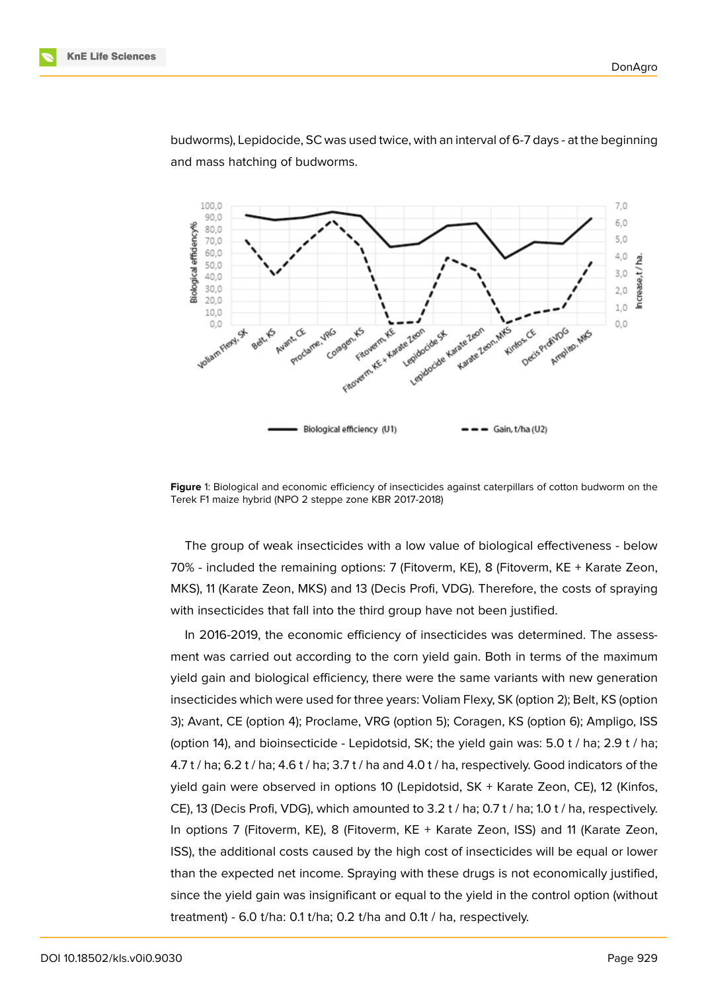



budworms), Lepidocide, SC was used twice, with an interval of 6-7 days - at the beginning and mass hatching of budworms.



<span id="page-3-0"></span>**Figure** 1: Biological and economic efficiency of insecticides against caterpillars of cotton budworm on the Terek F1 maize hybrid (NPO 2 steppe zone KBR 2017-2018)

The group of weak insecticides with a low value of biological effectiveness - below 70% - included the remaining options: 7 (Fitoverm, KE), 8 (Fitoverm, KE + Karate Zeon, MKS), 11 (Karate Zeon, MKS) and 13 (Decis Profi, VDG). Therefore, the costs of spraying with insecticides that fall into the third group have not been justified.

In 2016-2019, the economic efficiency of insecticides was determined. The assessment was carried out according to the corn yield gain. Both in terms of the maximum yield gain and biological efficiency, there were the same variants with new generation insecticides which were used for three years: Voliam Flexy, SK (option 2); Belt, KS (option 3); Avant, CE (option 4); Proclame, VRG (option 5); Coragen, KS (option 6); Ampligo, ISS (option 14), and bioinsecticide - Lepidotsid, SK; the yield gain was: 5.0 t / ha; 2.9 t / ha; 4.7 t / ha; 6.2 t / ha; 4.6 t / ha; 3.7 t / ha and 4.0 t / ha, respectively. Good indicators of the yield gain were observed in options 10 (Lepidotsid, SK + Karate Zeon, CE), 12 (Kinfos, CE), 13 (Decis Profi, VDG), which amounted to 3.2 t / ha; 0.7 t / ha; 1.0 t / ha, respectively. In options 7 (Fitoverm, KE), 8 (Fitoverm, KE + Karate Zeon, ISS) and 11 (Karate Zeon, ISS), the additional costs caused by the high cost of insecticides will be equal or lower than the expected net income. Spraying with these drugs is not economically justified, since the yield gain was insignificant or equal to the yield in the control option (without treatment) - 6.0 t/ha: 0.1 t/ha; 0.2 t/ha and 0.1t / ha, respectively.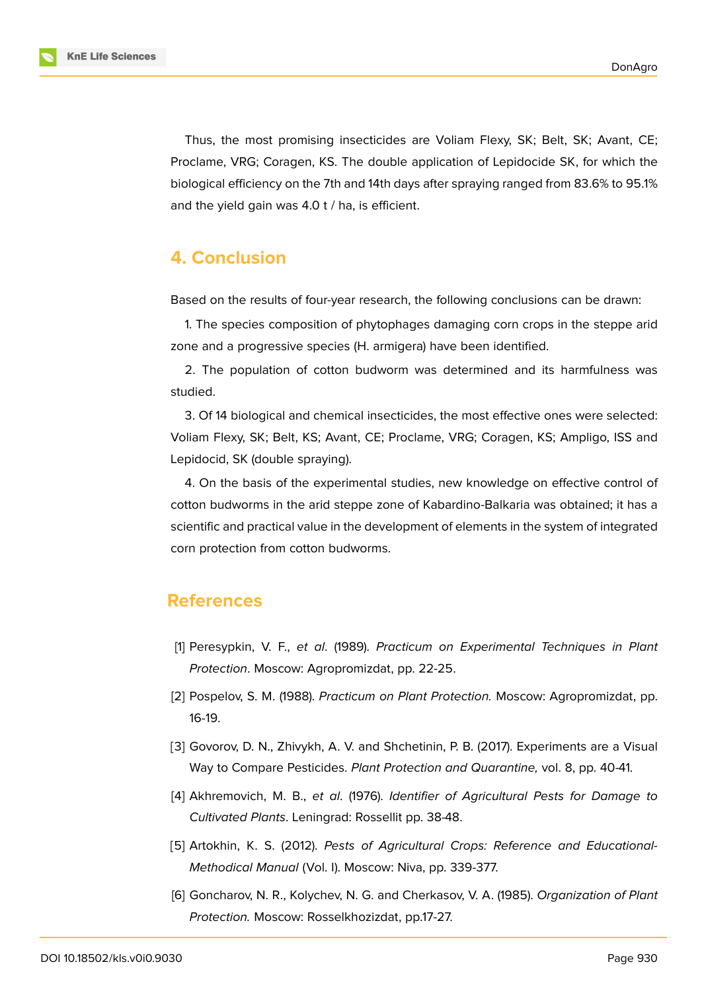**KnE Life Sciences** 

Thus, the most promising insecticides are Voliam Flexy, SK; Belt, SK; Avant, CE; Proclame, VRG; Coragen, KS. The double application of Lepidocide SK, for which the biological efficiency on the 7th and 14th days after spraying ranged from 83.6% to 95.1% and the yield gain was 4.0 t / ha, is efficient.

# **4. Conclusion**

Based on the results of four-year research, the following conclusions can be drawn:

1. The species composition of phytophages damaging corn crops in the steppe arid zone and a progressive species (H. armigera) have been identified.

2. The population of cotton budworm was determined and its harmfulness was studied.

3. Of 14 biological and chemical insecticides, the most effective ones were selected: Voliam Flexy, SK; Belt, KS; Avant, CE; Proclame, VRG; Coragen, KS; Ampligo, ISS and Lepidocid, SK (double spraying).

4. On the basis of the experimental studies, new knowledge on effective control of cotton budworms in the arid steppe zone of Kabardino-Balkaria was obtained; it has a scientific and practical value in the development of elements in the system of integrated corn protection from cotton budworms.

### **References**

- [1] Peresypkin, V. F., *et al*. (1989). *Practicum on Experimental Techniques in Plant Protection*. Moscow: Agropromizdat, pp. 22-25.
- [2] Pospelov, S. M. (1988). *Practicum on Plant Protection.* Moscow: Agropromizdat, pp. 16-19.
- [3] Govorov, D. N., Zhivykh, A. V. and Shchetinin, P. B. (2017). Experiments are a Visual Way to Compare Pesticides. *Plant Protection and Quarantine,* vol. 8, pp. 40-41.
- [4] Akhremovich, M. B., *et al*. (1976). *Identifier of Agricultural Pests for Damage to Cultivated Plants*. Leningrad: Rossellit pp. 38-48.
- [5] Artokhin, K. S. (2012). *Pests of Agricultural Crops: Reference and Educational-Methodical Manual* (Vol. I). Moscow: Niva, pp. 339-377.
- [6] Goncharov, N. R., Kolychev, N. G. and Cherkasov, V. A. (1985). *Organization of Plant Protection.* Moscow: Rosselkhozizdat, pp.17-27.